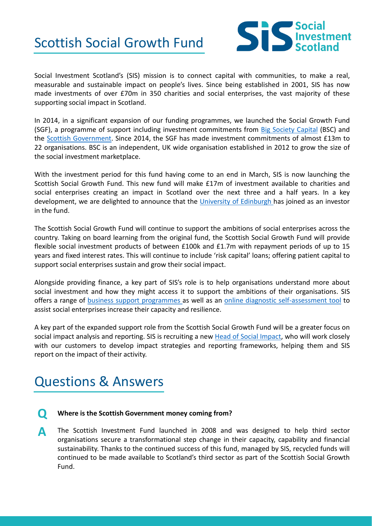## Scottish Social Growth Fund



Social Investment Scotland's (SIS) mission is to connect capital with communities, to make a real, measurable and sustainable impact on people's lives. Since being established in 2001, SIS has now made investments of over £70m in 350 charities and social enterprises, the vast majority of these supporting social impact in Scotland.

In 2014, in a significant expansion of our funding programmes, we launched the Social Growth Fund (SGF), a programme of support including investment commitments from Big [Society](https://www.bigsocietycapital.com/) Capital (BSC) and the Scottish [Government](https://www.gov.scot/). Since 2014, the SGF has made investment commitments of almost £13m to 22 organisations. BSC is an independent, UK wide organisation established in 2012 to grow the size of the social investment marketplace.

With the investment period for this fund having come to an end in March, SIS is now launching the Scottish Social Growth Fund. This new fund will make £17m of investment available to charities and social enterprises creating an impact in Scotland over the next three and a half years. In a key development, we are delighted to announce that the University of [Edinburgh](https://www.ed.ac.uk/) has joined as an investor in the fund.

The Scottish Social Growth Fund will continue to support the ambitions of social enterprises across the country. Taking on board learning from the original fund, the Scottish Social Growth Fund will provide flexible social investment products of between £100k and £1.7m with repayment periods of up to 15 years and fixed interest rates. This will continue to include 'risk capital' loans; offering patient capital to support social enterprises sustain and grow their social impact.

Alongside providing finance, a key part of SIS's role is to help organisations understand more about social investment and how they might access it to support the ambitions of their organisations. SIS offers a range of business support [programmes](http://www.socialinvestmentscotland.com/support/) as well as an online diagnostic [self-assessment](http://www.socialinvestmentscotland.com/investment-readiness/) tool to assist social enterprises increase their capacity and resilience.

A key part of the expanded support role from the Scottish Social Growth Fund will be a greater focus on social impact analysis and reporting. SIS is recruiting a new Head of Social [Impact](http://www.socialinvestmentscotland.com/were-recruiting-for-a-head-of-impact/), who will work closely with our customers to develop impact strategies and reporting frameworks, helping them and SIS report on the impact of their activity.

### Questions & Answers

- **Q Where is the Scottish Government money coming from?**
- The Scottish Investment Fund launched in 2008 and was designed to help third sector organisations secure a transformational step change in their capacity, capability and financial sustainability. Thanks to the continued success of this fund, managed by SIS, recycled funds will continued to be made available to Scotland's third sector as part of the Scottish Social Growth Fund. **A**